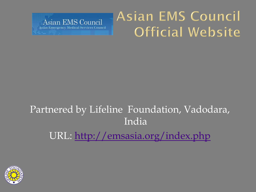

### Asian EMS Council Official Website

#### Partnered by Lifeline Foundation, Vadodara, India URL: <http://emsasia.org/index.php>

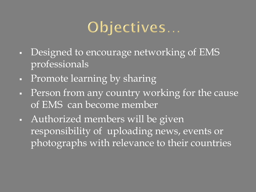# Objectives...

- Designed to encourage networking of EMS professionals
- Promote learning by sharing
- Person from any country working for the cause of EMS can become member
- Authorized members will be given responsibility of uploading news, events or photographs with relevance to their countries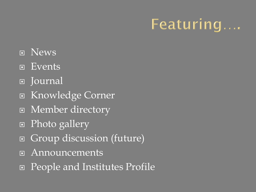# Featuring....

- **D** News
- Events
- Journal
- Knowledge Corner
- Member directory
- Photo gallery
- Group discussion (future)
- Announcements
- People and Institutes Profile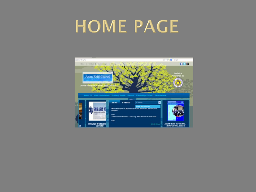# HOME PAGE

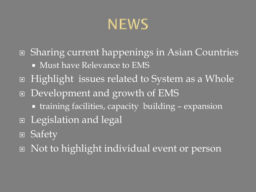### **NEWS**

- Sharing current happenings in Asian Countries
	- Must have Relevance to EMS
- Highlight issues related to System as a Whole
- Development and growth of EMS
	- training facilities, capacity building expansion
- Legislation and legal
- Safety
- I Not to highlight individual event or person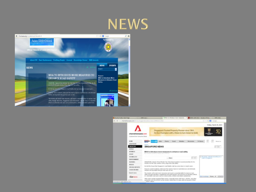



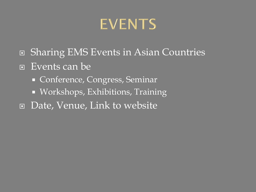### **EVENTS**

- □ Sharing EMS Events in Asian Countries
- Events can be
	- **Conference, Congress, Seminar**
	- **Workshops, Exhibitions, Training**
- Date, Venue, Link to website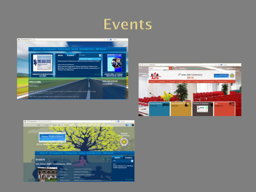





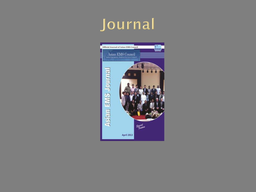# Journal

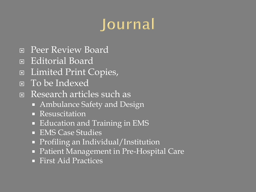# Journal

- **E** Peer Review Board
- Editorial Board
- Limited Print Copies,
- To be Indexed
- Research articles such as
	- Ambulance Safety and Design
	- **Resuscitation**
	- **Education and Training in EMS**
	- **EMS Case Studies**
	- **Profiling an Individual/Institution**
	- Patient Management in Pre-Hospital Care
	- First Aid Practices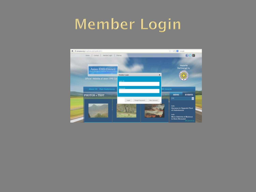### Member Login

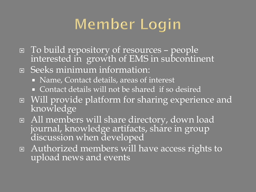# Member Login

- To build repository of resources people interested in growth of EMS in subcontinent
- Seeks minimum information:
	- Name, Contact details, areas of interest
	- Contact details will not be shared if so desired
- Will provide platform for sharing experience and knowledge
- All members will share directory, down load journal, knowledge artifacts, share in group discussion when developed
- Authorized members will have access rights to upload news and events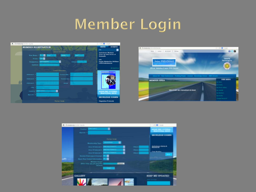### Member Login





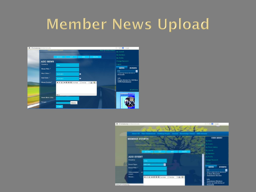#### Member News Upload



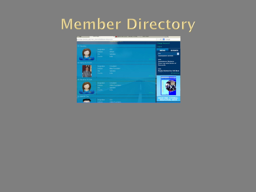### Member Directory